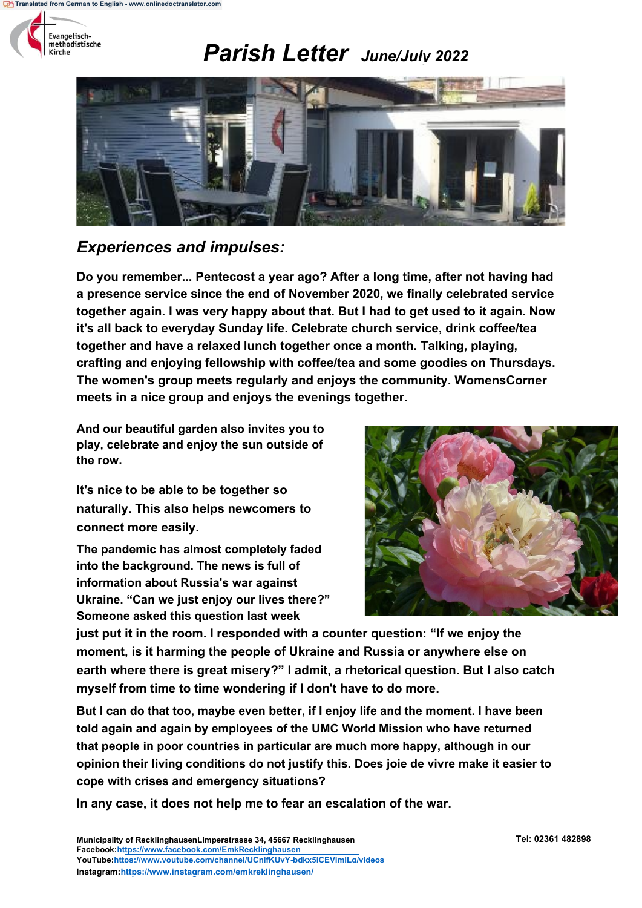



### *Experiences and impulses:*

**Do you remember... Pentecost a year ago? After a long time, after not having had a presence service since the end of November 2020, we finally celebrated service together again. I was very happy about that. But I had to get used to it again. Now it's all back to everyday Sunday life. Celebrate church service, drink coffee/tea together and have a relaxed lunch together once a month. Talking, playing, crafting and enjoying fellowship with coffee/tea and some goodies on Thursdays. The women's group meets regularly and enjoys the community. WomensCorner meets in a nice group and enjoys the evenings together.**

**And our beautiful garden also invites you to play, celebrate and enjoy the sun outside of the row.**

**It's nice to be able to be together so naturally. This also helps newcomers to connect more easily.**

**The pandemic has almost completely faded into the background. The news is full of information about Russia's war against Ukraine. "Can we just enjoy our lives there?" Someone asked this question last week**



**just put it in the room. I responded with a counter question: "If we enjoy the moment, is it harming the people of Ukraine and Russia or anywhere else on earth where there is great misery?" I admit, a rhetorical question. But I also catch myself from time to time wondering if I don't have to do more.**

**But I can do that too, maybe even better, if I enjoy life and the moment. I have been told again and again by employees of the UMC World Mission who have returned that people in poor countries in particular are much more happy, although in our opinion their living conditions do not justify this. Does joie de vivre make it easier to cope with crises and emergency situations?**

**In any case, it does not help me to fear an escalation of the war.**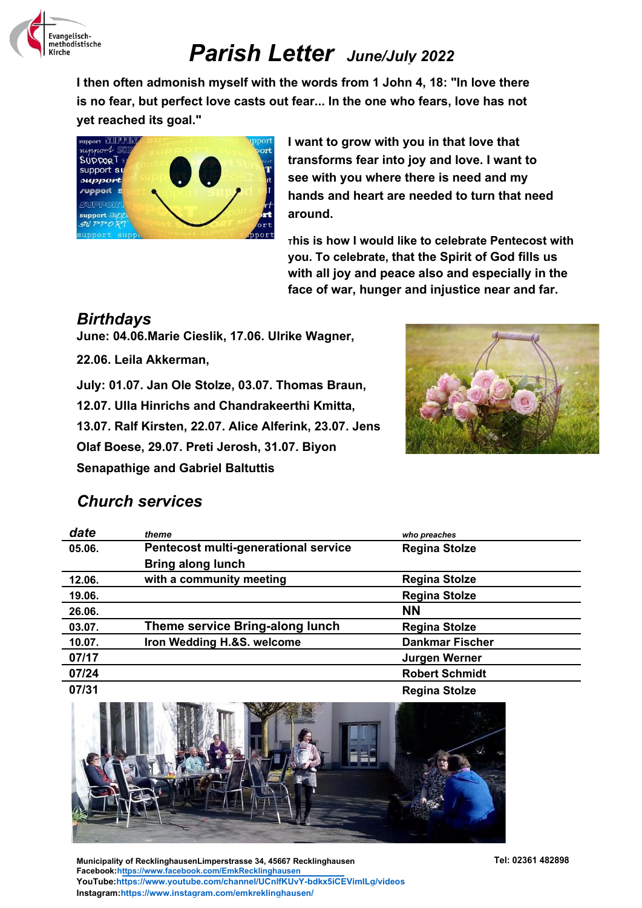

**I then often admonish myself with the words from 1 John 4, 18: "In love there is no fear, but perfect love casts out fear... In the one who fears, love has not yet reached its goal."**



**I want to grow with you in that love that transforms fear into joy and love. I want to see with you where there is need and my hands and heart are needed to turn that need around.**

**<sup>T</sup>his is how I would like to celebrate Pentecost with you. To celebrate, that the Spirit of God fills us with all joy and peace also and especially in the face of war, hunger and injustice near and far.**

### *Birthdays*

**June: 04.06.Marie Cieslik, 17.06. Ulrike Wagner,** 

**22.06. Leila Akkerman,**

**July: 01.07. Jan Ole Stolze, 03.07. Thomas Braun, 12.07. Ulla Hinrichs and Chandrakeerthi Kmitta, 13.07. Ralf Kirsten, 22.07. Alice Alferink, 23.07. Jens Olaf Boese, 29.07. Preti Jerosh, 31.07. Biyon Senapathige and Gabriel Baltuttis**



### *Church services*

| date   | theme                                | who preaches           |
|--------|--------------------------------------|------------------------|
| 05.06. | Pentecost multi-generational service | <b>Regina Stolze</b>   |
|        | <b>Bring along lunch</b>             |                        |
| 12.06. | with a community meeting             | <b>Regina Stolze</b>   |
| 19.06. |                                      | <b>Regina Stolze</b>   |
| 26.06. |                                      | <b>NN</b>              |
| 03.07. | Theme service Bring-along lunch      | <b>Regina Stolze</b>   |
| 10.07. | Iron Wedding H.&S. welcome           | <b>Dankmar Fischer</b> |
| 07/17  |                                      | Jurgen Werner          |
| 07/24  |                                      | <b>Robert Schmidt</b>  |
| 07/31  |                                      | <b>Regina Stolze</b>   |



**Municipality of RecklinghausenLimperstrasse 34, 45667 Recklinghausen Tel: 02361 482898 Facebook:https://www.facebook.com/EmkRecklinghausen YouTube:https://www.youtube.com/channel/UCnlfKUvY-bdkx5iCEVimILg/videos Instagram:https://www.instagram.com/emkreklinghausen/**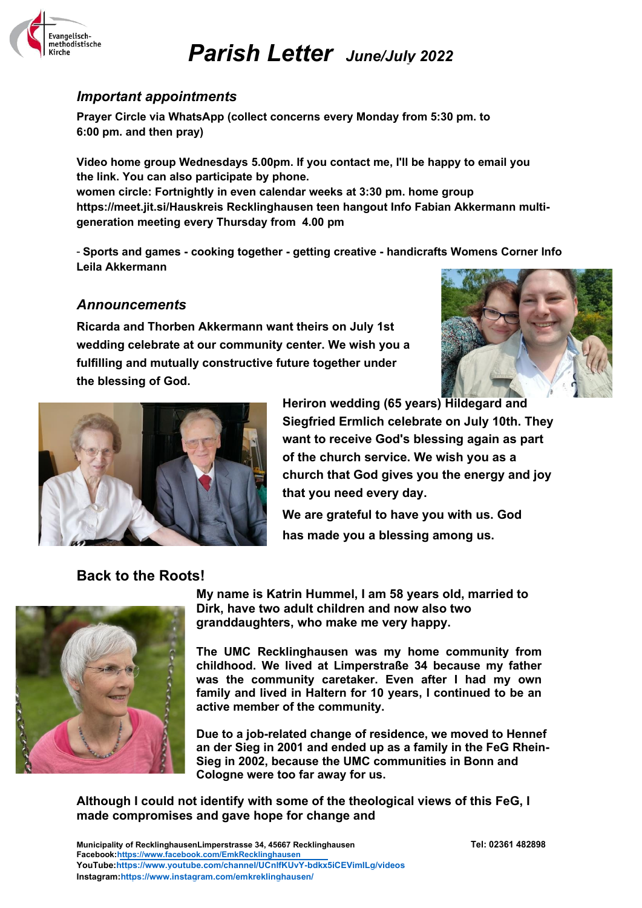

#### *Important appointments*

**Prayer Circle via WhatsApp (collect concerns every Monday from 5:30 pm. to 6:00 pm. and then pray)**

**Video home group Wednesdays 5.00pm. If you contact me, I'll be happy to email you the link. You can also participate by phone. women circle: Fortnightly in even calendar weeks at 3:30 pm. home group https://meet.jit.si/Hauskreis Recklinghausen teen hangout Info Fabian Akkermann multigeneration meeting every Thursday from 4.00 pm**

- **Sports and games - cooking together - getting creative - handicrafts Womens Corner Info Leila Akkermann**

### *Announcements*

**Ricarda and Thorben Akkermann want theirs on July 1st wedding celebrate at our community center. We wish you a fulfilling and mutually constructive future together under the blessing of God.**





**Heriron wedding (65 years) Hildegard and Siegfried Ermlich celebrate on July 10th. They want to receive God's blessing again as part of the church service. We wish you as a church that God gives you the energy and joy that you need every day.**

**We are grateful to have you with us. God has made you a blessing among us.**

### **Back to the Roots!**



**My name is Katrin Hummel, I am 58 years old, married to Dirk, have two adult children and now also two granddaughters, who make me very happy.**

**The UMC Recklinghausen was my home community from childhood. We lived at Limperstraße 34 because my father was the community caretaker. Even after I had my own family and lived in Haltern for 10 years, I continued to be an active member of the community.**

**Due to a job-related change of residence, we moved to Hennef an der Sieg in 2001 and ended up as a family in the FeG Rhein-Sieg in 2002, because the UMC communities in Bonn and Cologne were too far away for us.**

**Although I could not identify with some of the theological views of this FeG, I made compromises and gave hope for change and** 

**Municipality of RecklinghausenLimperstrasse 34, 45667 Recklinghausen Tel: 02361 482898 Facebook:https://www.facebook.com/EmkRecklinghausen YouTube:https://www.youtube.com/channel/UCnlfKUvY-bdkx5iCEVimILg/videos Instagram:https://www.instagram.com/emkreklinghausen/**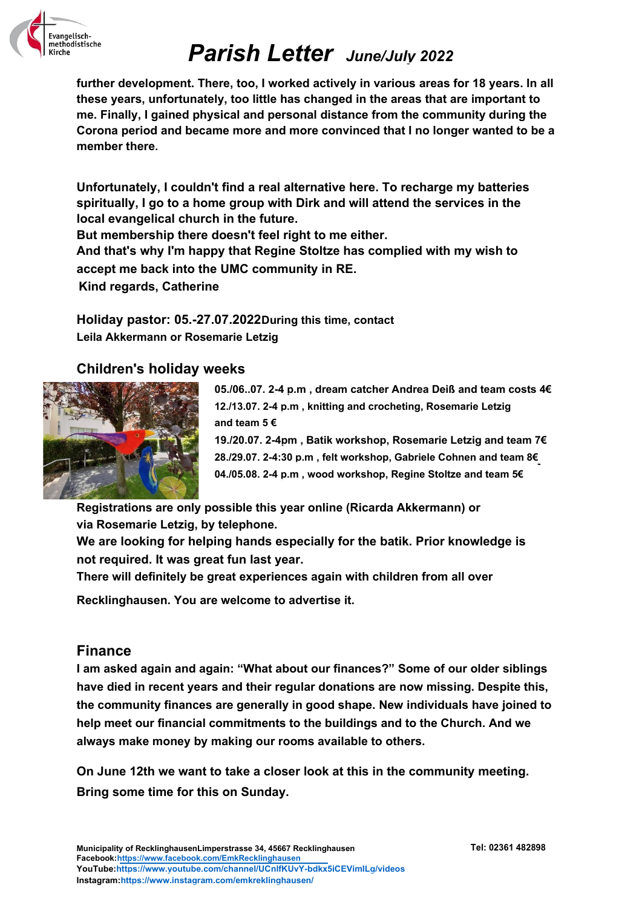

**further development. There, too, I worked actively in various areas for 18 years. In all these years, unfortunately, too little has changed in the areas that are important to me. Finally, I gained physical and personal distance from the community during the Corona period and became more and more convinced that I no longer wanted to be a member there.**

**Unfortunately, I couldn't find a real alternative here. To recharge my batteries spiritually, I go to a home group with Dirk and will attend the services in the local evangelical church in the future.**

**But membership there doesn't feel right to me either.**

**And that's why I'm happy that Regine Stoltze has complied with my wish to accept me back into the UMC community in RE.**

**Kind regards, Catherine**

**Holiday pastor: 05.-27.07.2022During this time, contact Leila Akkermann or Rosemarie Letzig**

### **Children's holiday weeks**



**05./06..07. 2-4 p.m , dream catcher Andrea Deiß and team costs 4€ 12./13.07. 2-4 p.m , knitting and crocheting, Rosemarie Letzig and team 5 €**

**19./20.07. 2-4pm , Batik workshop, Rosemarie Letzig and team 7€ 28./29.07. 2-4:30 p.m , felt workshop, Gabriele Cohnen and team 8€ 04./05.08. 2-4 p.m , wood workshop, Regine Stoltze and team 5€**

**Registrations are only possible this year online (Ricarda Akkermann) or via Rosemarie Letzig, by telephone.**

**We are looking for helping hands especially for the batik. Prior knowledge is not required. It was great fun last year.**

**There will definitely be great experiences again with children from all over** 

**Recklinghausen. You are welcome to advertise it.**

### **Finance**

**I am asked again and again: "What about our finances?" Some of our older siblings have died in recent years and their regular donations are now missing. Despite this, the community finances are generally in good shape. New individuals have joined to help meet our financial commitments to the buildings and to the Church. And we always make money by making our rooms available to others.**

**On June 12th we want to take a closer look at this in the community meeting. Bring some time for this on Sunday.**